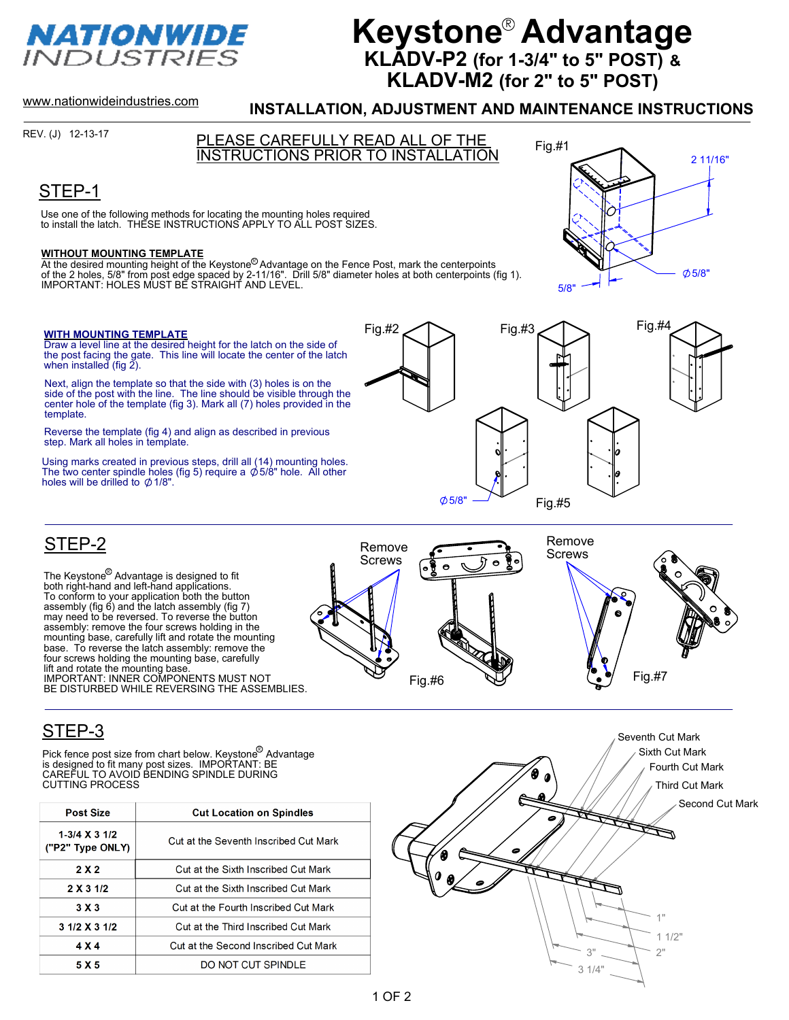

# **Keystone® Advantage KLADV-P2 (for 1-3/4" to 5" POST) & KLADV-M2 (for 2" to 5" POST)**

www.nationwideindustries.com

#### **INSTALLATION, ADJUSTMENT AND MAINTENANCE INSTRUCTIONS**

REV. (J) 12-13-17

Fig.#1 PLEASE CAREFULLY READ ALL OF THE

INSTRUCTIONS PRIOR TO INSTALLATION

## STEP-1

Use one of the following methods for locating the mounting holes required to install the latch. THESE INSTRUCTIONS APPLY TO ALL POST SIZES.

**WITHOUT MOUNTING TEMPLATE**<br>At the desired mounting height of the Keystone<sup>®</sup> Advantage on the Fence Post, mark the centerpoints<br>of the 2 holes, 5/8" from post edge spaced by 2-11/16". Drill 5/8" diameter holes at both ce R

#### **WITH MOUNTING TEMPLATE**

Draw a level line at the desired height for the latch on the side of the post facing the gate. This line will locate the center of the latch when installed (fig  $2$ ).

Next, align the template so that the side with (3) holes is on the side of the post with the line. The line should be visible through the center hole of the template (fig 3). Mark all (7) holes provided in the template.

Reverse the template (fig 4) and align as described in previous step. Mark all holes in template.

Using marks created in previous steps, drill all (14) mounting holes. The two center spindle holes (fig 5) require a  $\emptyset$  5/8" hole. All other holes will be drilled to  $\phi$  1/8".







### STEP-3

STEP-2

Pick fence post size from chart below. Keystone<sup>w</sup> Advantage<br>is designed to fit many post sizes. IMPORTANT: BE CAREFUL TO AVOID BENDING SPINDLE DURING CUTTING PROCESS

The Keystone<sup>©</sup> Advantage is designed to fit<br>both right-hand and left-hand applications.<br>To conform to your application both the button<br>assembly (fig 6) and the latch assembly (fig 7) may need to be reversed. To reverse the button assembly: remove the four screws holding in the mounting base, carefully lift and rotate the mounting base. To reverse the latch assembly: remove the four screws holding the mounting base, carefully

IMPORTANT: INNER COMPONENTS MUST NOT BE DISTURBED WHILE REVERSING THE ASSEMBLIES.

lift and rotate the mounting base.

| <b>Post Size</b>                    | <b>Cut Location on Spindles</b>       |
|-------------------------------------|---------------------------------------|
| $1-3/4$ X 3 1/2<br>("P2" Type ONLY) | Cut at the Seventh Inscribed Cut Mark |
| 2 X 2                               | Cut at the Sixth Inscribed Cut Mark   |
| 2 X 3 1/2                           | Cut at the Sixth Inscribed Cut Mark   |
| 3X3                                 | Cut at the Fourth Inscribed Cut Mark  |
| 3 1/2 X 3 1/2                       | Cut at the Third Inscribed Cut Mark   |
| 4 X 4                               | Cut at the Second Inscribed Cut Mark  |
| 5 X 5                               | DO NOT CUT SPINDLE                    |